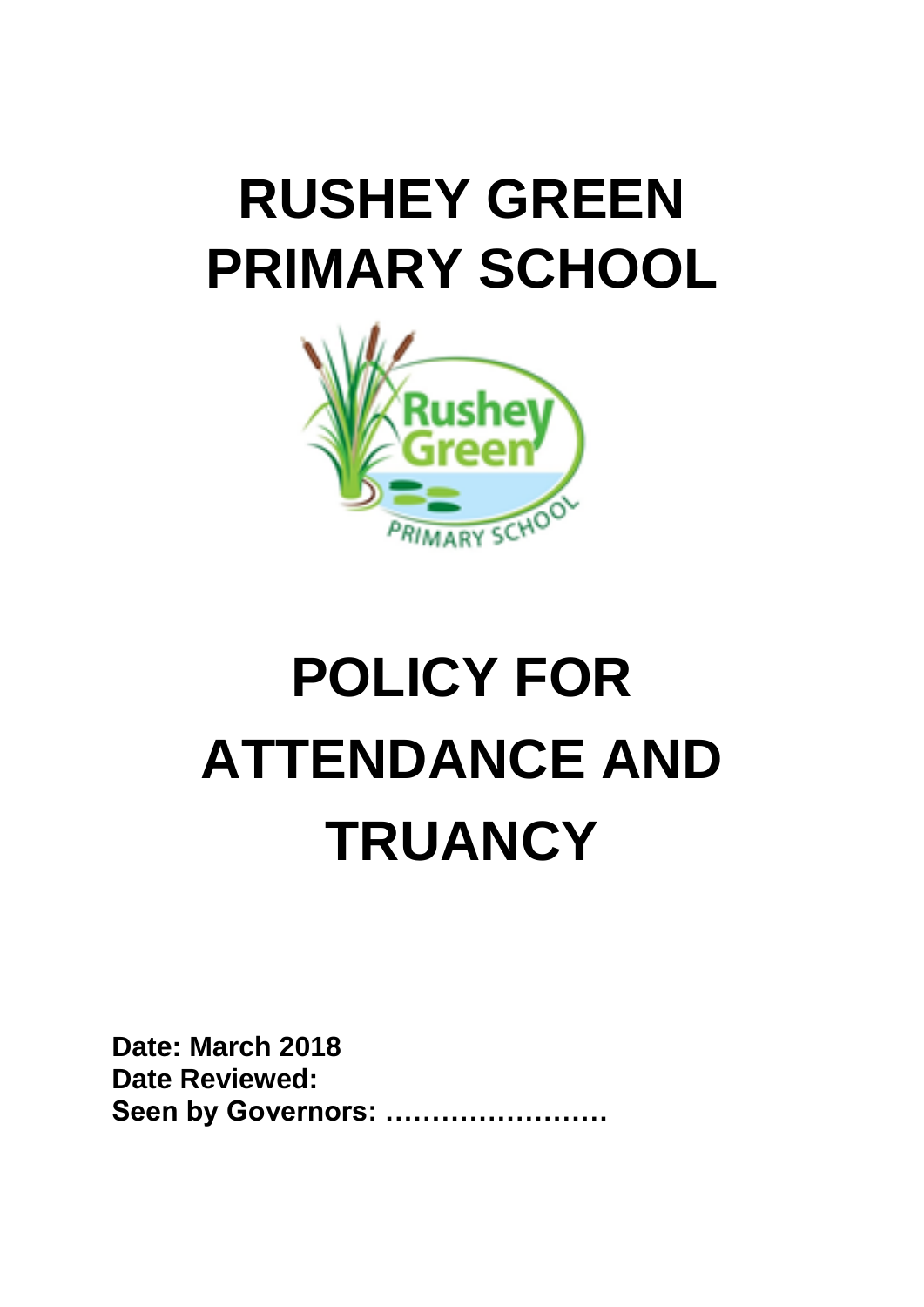# **RUSHEY GREEN PRIMARY SCHOOL**



# **POLICY FOR ATTENDANCE AND TRUANCY**

**Date: March 2018 Date Reviewed: Seen by Governors: ……………………**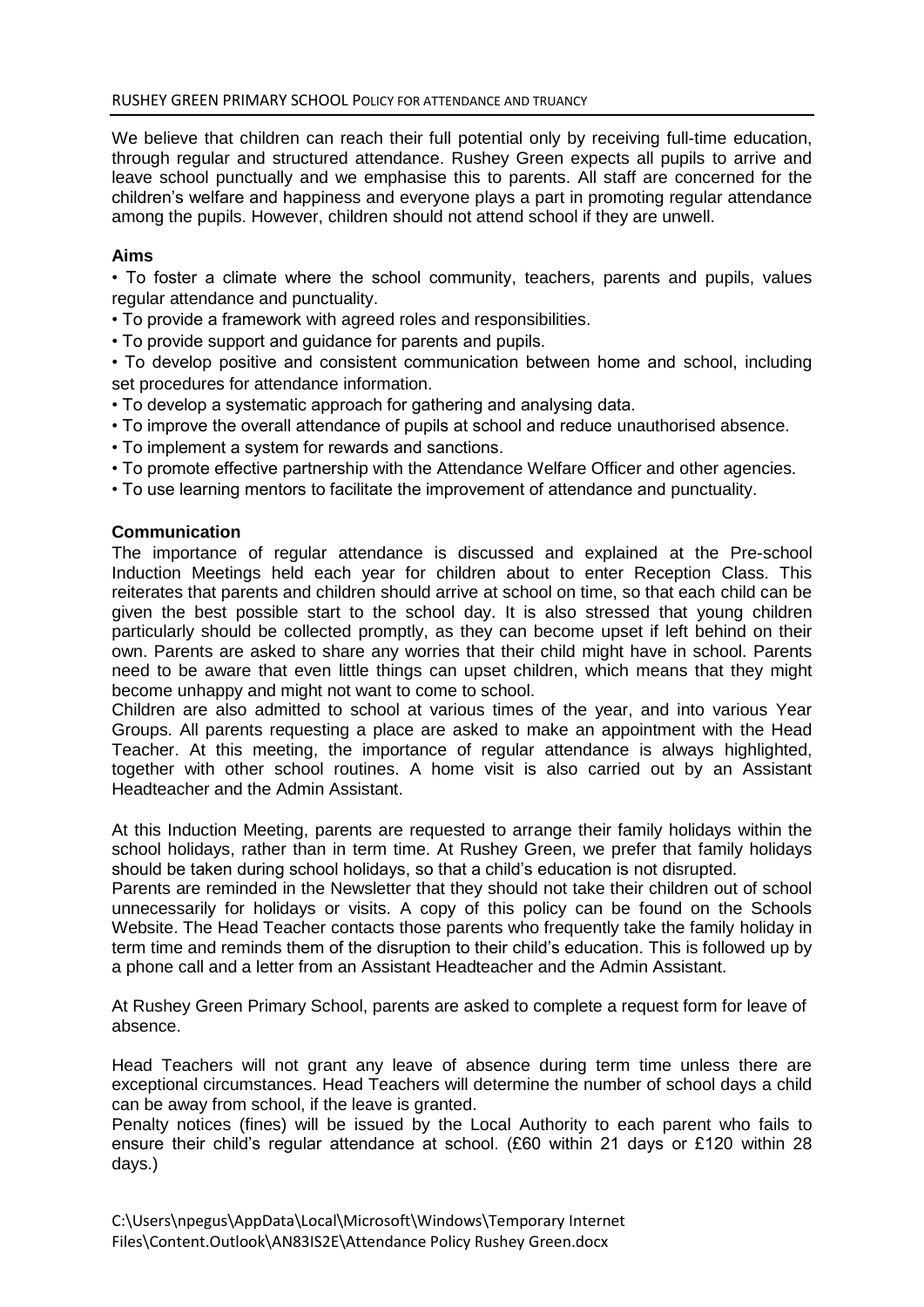We believe that children can reach their full potential only by receiving full-time education, through regular and structured attendance. Rushey Green expects all pupils to arrive and leave school punctually and we emphasise this to parents. All staff are concerned for the children's welfare and happiness and everyone plays a part in promoting regular attendance among the pupils. However, children should not attend school if they are unwell.

# **Aims**

• To foster a climate where the school community, teachers, parents and pupils, values regular attendance and punctuality.

- To provide a framework with agreed roles and responsibilities.
- To provide support and guidance for parents and pupils.

• To develop positive and consistent communication between home and school, including set procedures for attendance information.

- To develop a systematic approach for gathering and analysing data.
- To improve the overall attendance of pupils at school and reduce unauthorised absence.
- To implement a system for rewards and sanctions.
- To promote effective partnership with the Attendance Welfare Officer and other agencies.
- To use learning mentors to facilitate the improvement of attendance and punctuality.

#### **Communication**

The importance of regular attendance is discussed and explained at the Pre-school Induction Meetings held each year for children about to enter Reception Class. This reiterates that parents and children should arrive at school on time, so that each child can be given the best possible start to the school day. It is also stressed that young children particularly should be collected promptly, as they can become upset if left behind on their own. Parents are asked to share any worries that their child might have in school. Parents need to be aware that even little things can upset children, which means that they might become unhappy and might not want to come to school.

Children are also admitted to school at various times of the year, and into various Year Groups. All parents requesting a place are asked to make an appointment with the Head Teacher. At this meeting, the importance of regular attendance is always highlighted, together with other school routines. A home visit is also carried out by an Assistant Headteacher and the Admin Assistant.

At this Induction Meeting, parents are requested to arrange their family holidays within the school holidays, rather than in term time. At Rushey Green, we prefer that family holidays should be taken during school holidays, so that a child's education is not disrupted.

Parents are reminded in the Newsletter that they should not take their children out of school unnecessarily for holidays or visits. A copy of this policy can be found on the Schools Website. The Head Teacher contacts those parents who frequently take the family holiday in term time and reminds them of the disruption to their child's education. This is followed up by a phone call and a letter from an Assistant Headteacher and the Admin Assistant.

At Rushey Green Primary School, parents are asked to complete a request form for leave of absence.

Head Teachers will not grant any leave of absence during term time unless there are exceptional circumstances. Head Teachers will determine the number of school days a child can be away from school, if the leave is granted.

Penalty notices (fines) will be issued by the Local Authority to each parent who fails to ensure their child's regular attendance at school. (£60 within 21 days or £120 within 28 days.)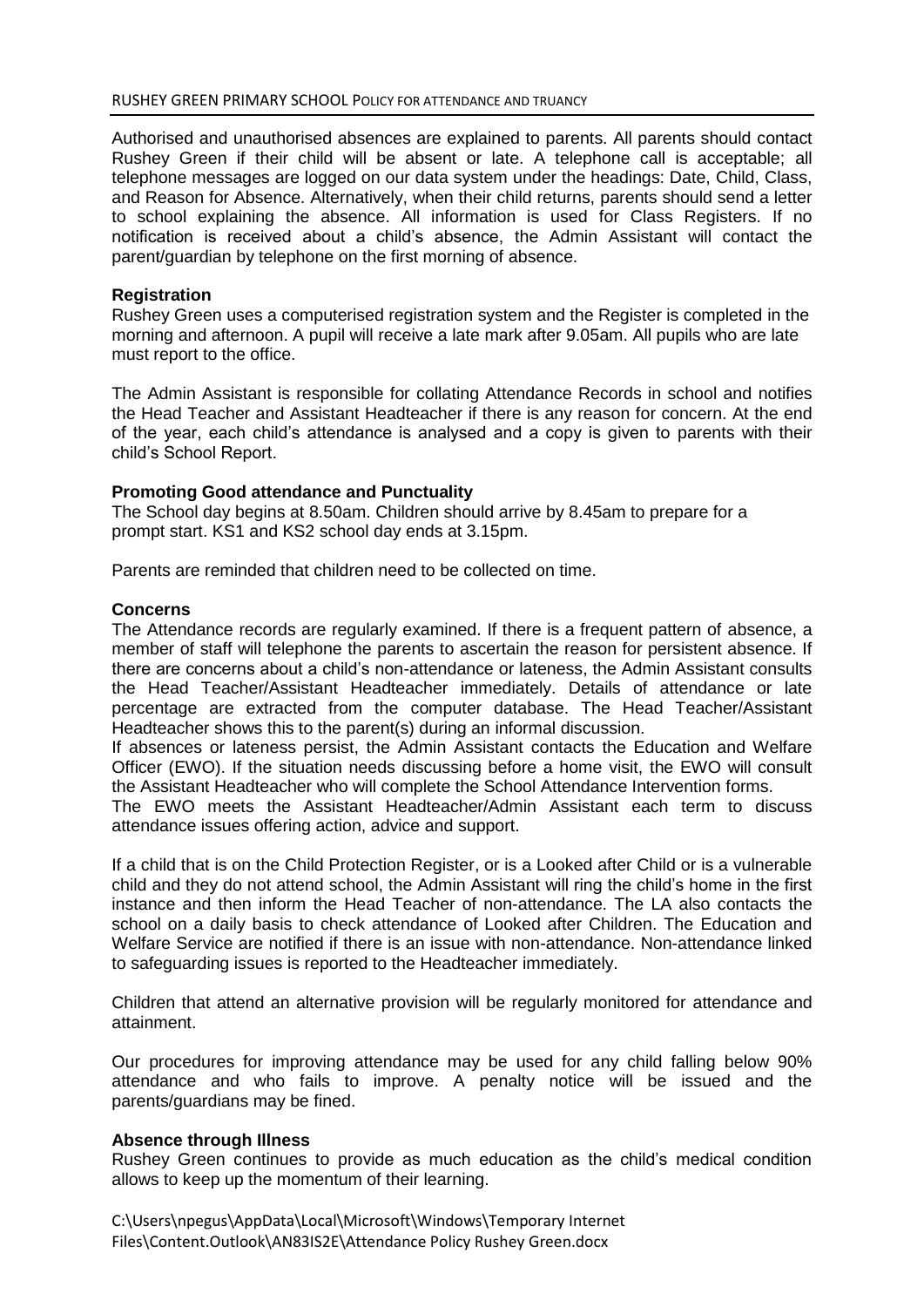Authorised and unauthorised absences are explained to parents. All parents should contact Rushey Green if their child will be absent or late. A telephone call is acceptable; all telephone messages are logged on our data system under the headings: Date, Child, Class, and Reason for Absence. Alternatively, when their child returns, parents should send a letter to school explaining the absence. All information is used for Class Registers. If no notification is received about a child's absence, the Admin Assistant will contact the parent/guardian by telephone on the first morning of absence.

#### **Registration**

Rushey Green uses a computerised registration system and the Register is completed in the morning and afternoon. A pupil will receive a late mark after 9.05am. All pupils who are late must report to the office.

The Admin Assistant is responsible for collating Attendance Records in school and notifies the Head Teacher and Assistant Headteacher if there is any reason for concern. At the end of the year, each child's attendance is analysed and a copy is given to parents with their child's School Report.

#### **Promoting Good attendance and Punctuality**

The School day begins at 8.50am. Children should arrive by 8.45am to prepare for a prompt start. KS1 and KS2 school day ends at 3.15pm.

Parents are reminded that children need to be collected on time.

#### **Concerns**

The Attendance records are regularly examined. If there is a frequent pattern of absence, a member of staff will telephone the parents to ascertain the reason for persistent absence. If there are concerns about a child's non-attendance or lateness, the Admin Assistant consults the Head Teacher/Assistant Headteacher immediately. Details of attendance or late percentage are extracted from the computer database. The Head Teacher/Assistant Headteacher shows this to the parent(s) during an informal discussion.

If absences or lateness persist, the Admin Assistant contacts the Education and Welfare Officer (EWO). If the situation needs discussing before a home visit, the EWO will consult the Assistant Headteacher who will complete the School Attendance Intervention forms.

The EWO meets the Assistant Headteacher/Admin Assistant each term to discuss attendance issues offering action, advice and support.

If a child that is on the Child Protection Register, or is a Looked after Child or is a vulnerable child and they do not attend school, the Admin Assistant will ring the child's home in the first instance and then inform the Head Teacher of non-attendance. The LA also contacts the school on a daily basis to check attendance of Looked after Children. The Education and Welfare Service are notified if there is an issue with non-attendance. Non-attendance linked to safeguarding issues is reported to the Headteacher immediately.

Children that attend an alternative provision will be regularly monitored for attendance and attainment.

Our procedures for improving attendance may be used for any child falling below 90% attendance and who fails to improve. A penalty notice will be issued and the parents/guardians may be fined.

#### **Absence through Illness**

Rushey Green continues to provide as much education as the child's medical condition allows to keep up the momentum of their learning.

C:\Users\npegus\AppData\Local\Microsoft\Windows\Temporary Internet Files\Content.Outlook\AN83IS2E\Attendance Policy Rushey Green.docx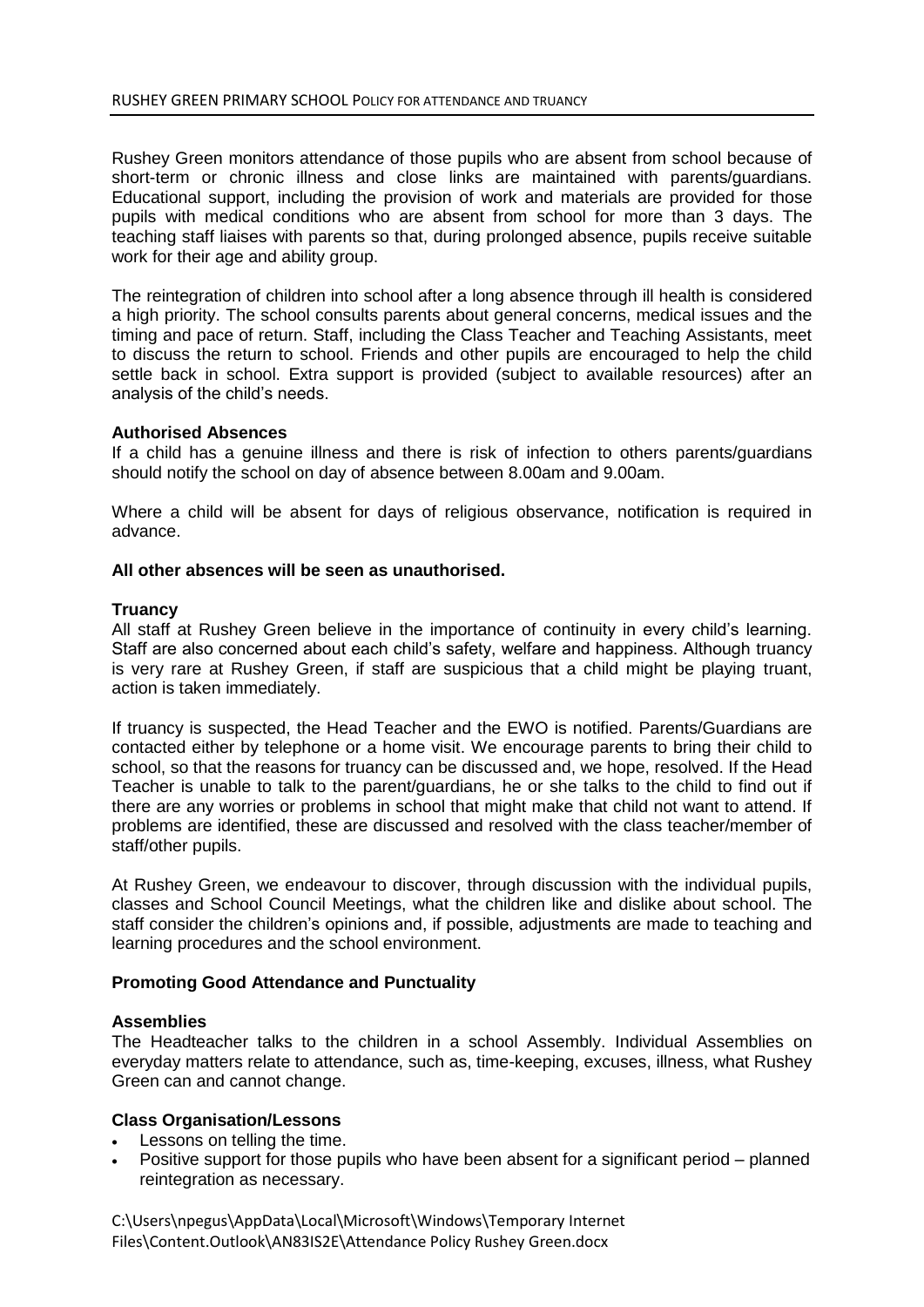Rushey Green monitors attendance of those pupils who are absent from school because of short-term or chronic illness and close links are maintained with parents/guardians. Educational support, including the provision of work and materials are provided for those pupils with medical conditions who are absent from school for more than 3 days. The teaching staff liaises with parents so that, during prolonged absence, pupils receive suitable work for their age and ability group.

The reintegration of children into school after a long absence through ill health is considered a high priority. The school consults parents about general concerns, medical issues and the timing and pace of return. Staff, including the Class Teacher and Teaching Assistants, meet to discuss the return to school. Friends and other pupils are encouraged to help the child settle back in school. Extra support is provided (subject to available resources) after an analysis of the child's needs.

# **Authorised Absences**

If a child has a genuine illness and there is risk of infection to others parents/guardians should notify the school on day of absence between 8.00am and 9.00am.

Where a child will be absent for days of religious observance, notification is required in advance.

# **All other absences will be seen as unauthorised.**

# **Truancy**

All staff at Rushey Green believe in the importance of continuity in every child's learning. Staff are also concerned about each child's safety, welfare and happiness. Although truancy is very rare at Rushey Green, if staff are suspicious that a child might be playing truant, action is taken immediately.

If truancy is suspected, the Head Teacher and the EWO is notified. Parents/Guardians are contacted either by telephone or a home visit. We encourage parents to bring their child to school, so that the reasons for truancy can be discussed and, we hope, resolved. If the Head Teacher is unable to talk to the parent/guardians, he or she talks to the child to find out if there are any worries or problems in school that might make that child not want to attend. If problems are identified, these are discussed and resolved with the class teacher/member of staff/other pupils.

At Rushey Green, we endeavour to discover, through discussion with the individual pupils, classes and School Council Meetings, what the children like and dislike about school. The staff consider the children's opinions and, if possible, adjustments are made to teaching and learning procedures and the school environment.

#### **Promoting Good Attendance and Punctuality**

#### **Assemblies**

The Headteacher talks to the children in a school Assembly. Individual Assemblies on everyday matters relate to attendance, such as, time-keeping, excuses, illness, what Rushey Green can and cannot change.

# **Class Organisation/Lessons**

- Lessons on telling the time.
- Positive support for those pupils who have been absent for a significant period planned reintegration as necessary.

C:\Users\npegus\AppData\Local\Microsoft\Windows\Temporary Internet Files\Content.Outlook\AN83IS2E\Attendance Policy Rushey Green.docx